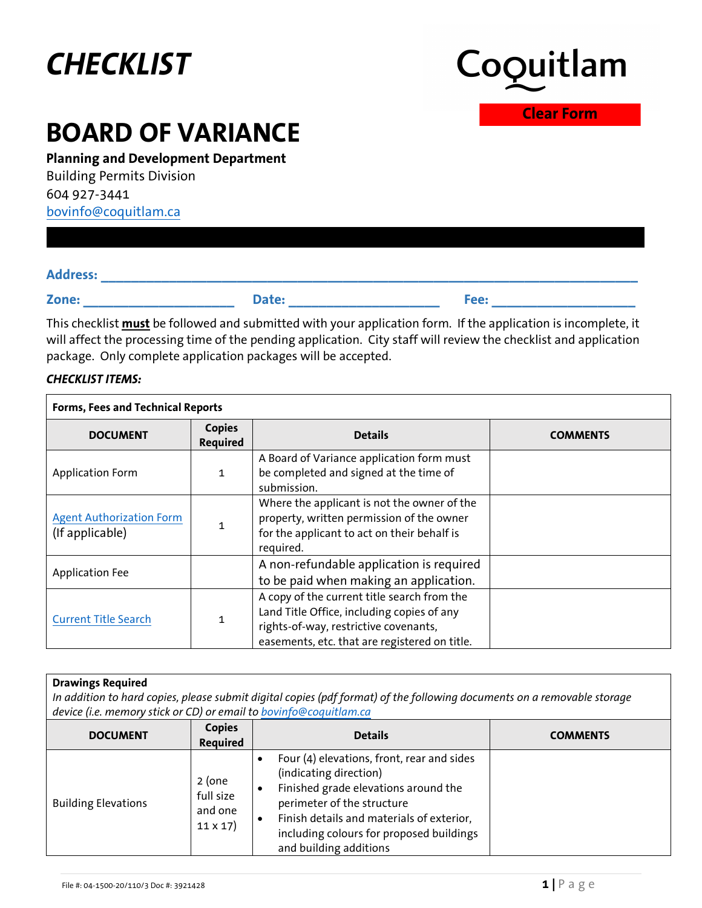# *CHECKLIST*



**Clear Form**

## **BOARD OF VARIANCE**

**Planning and Development Department**

Building Permits Division 604 927-3441 [bovinfo@coquitlam.ca](mailto:bovinfo@coquitlam.ca)

| <b>Address:</b> |  |
|-----------------|--|
|                 |  |

**Zone: \_\_\_\_\_\_\_\_\_\_\_\_\_\_\_\_\_\_\_\_ Date: \_\_\_\_\_\_\_\_\_\_\_\_\_\_\_\_\_\_\_\_ Fee: \_\_\_\_\_\_\_\_\_\_\_\_\_\_\_\_\_\_\_**

This checklist **must** be followed and submitted with your application form. If the application is incomplete, it will affect the processing time of the pending application. City staff will review the checklist and application package. Only complete application packages will be accepted.

### *CHECKLIST ITEMS:*

| Forms, Fees and Technical Reports                  |                                  |                                                                                                                                                                                     |                 |
|----------------------------------------------------|----------------------------------|-------------------------------------------------------------------------------------------------------------------------------------------------------------------------------------|-----------------|
| <b>DOCUMENT</b>                                    | <b>Copies</b><br><b>Required</b> | <b>Details</b>                                                                                                                                                                      | <b>COMMENTS</b> |
| <b>Application Form</b>                            | 1                                | A Board of Variance application form must<br>be completed and signed at the time of<br>submission.                                                                                  |                 |
| <b>Agent Authorization Form</b><br>(If applicable) |                                  | Where the applicant is not the owner of the<br>property, written permission of the owner<br>for the applicant to act on their behalf is<br>required.                                |                 |
| <b>Application Fee</b>                             |                                  | A non-refundable application is required<br>to be paid when making an application.                                                                                                  |                 |
| <b>Current Title Search</b>                        | 1                                | A copy of the current title search from the<br>Land Title Office, including copies of any<br>rights-of-way, restrictive covenants,<br>easements, etc. that are registered on title. |                 |

#### **Drawings Required**

*In addition to hard copies, please submit digital copies (pdf format) of the following documents on a removable storage device (i.e. memory stick or CD) or email to [bovinfo@coquitlam.ca](mailto:bovinfo@coquitlam.ca)*

| <b>DOCUMENT</b>            | <b>Copies</b><br><b>Required</b>                 | <b>Details</b>                                                                                                                                                                                                                                                | <b>COMMENTS</b> |
|----------------------------|--------------------------------------------------|---------------------------------------------------------------------------------------------------------------------------------------------------------------------------------------------------------------------------------------------------------------|-----------------|
| <b>Building Elevations</b> | 2 (one<br>full size<br>and one<br>$11 \times 17$ | Four (4) elevations, front, rear and sides<br>(indicating direction)<br>Finished grade elevations around the<br>perimeter of the structure<br>Finish details and materials of exterior,<br>including colours for proposed buildings<br>and building additions |                 |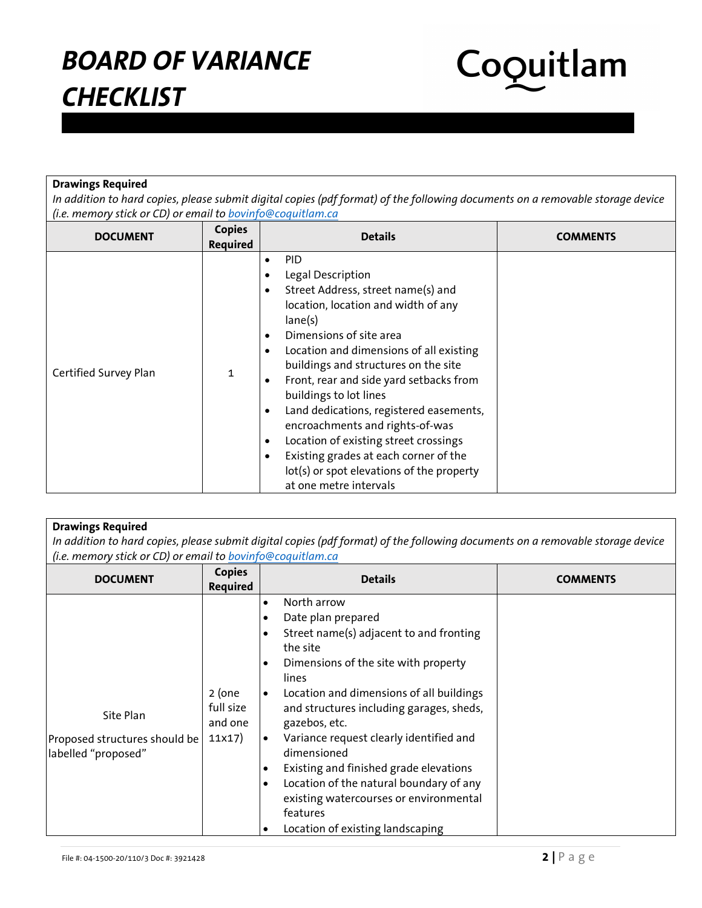

### **Drawings Required**

*In addition to hard copies, please submit digital copies (pdf format) of the following documents on a removable storage device (i.e. memory stick or CD) or email to [bovinfo@coquitlam.ca](mailto:bovinfo@coquitlam.ca)*

| <b>DOCUMENT</b>       | <b>Copies</b><br>Required | <b>Details</b>                                                                                                                                                                                                                                                                                                                                                                                                                                                                                                                                                                                                                                 | <b>COMMENTS</b> |
|-----------------------|---------------------------|------------------------------------------------------------------------------------------------------------------------------------------------------------------------------------------------------------------------------------------------------------------------------------------------------------------------------------------------------------------------------------------------------------------------------------------------------------------------------------------------------------------------------------------------------------------------------------------------------------------------------------------------|-----------------|
| Certified Survey Plan |                           | <b>PID</b><br>$\bullet$<br>Legal Description<br>٠<br>Street Address, street name(s) and<br>$\bullet$<br>location, location and width of any<br>lane(s)<br>Dimensions of site area<br>٠<br>Location and dimensions of all existing<br>$\bullet$<br>buildings and structures on the site<br>Front, rear and side yard setbacks from<br>$\bullet$<br>buildings to lot lines<br>Land dedications, registered easements,<br>$\bullet$<br>encroachments and rights-of-was<br>Location of existing street crossings<br>٠<br>Existing grades at each corner of the<br>$\bullet$<br>lot(s) or spot elevations of the property<br>at one metre intervals |                 |

| <b>Drawings Required</b><br>In addition to hard copies, please submit digital copies (pdf format) of the following documents on a removable storage device<br>(i.e. memory stick or CD) or email to bovinfo@coquitlam.ca |                                            |                                                                                                                                                                                                                                                                                                                                                                                                                                                                                                                                                                                                                  |                 |
|--------------------------------------------------------------------------------------------------------------------------------------------------------------------------------------------------------------------------|--------------------------------------------|------------------------------------------------------------------------------------------------------------------------------------------------------------------------------------------------------------------------------------------------------------------------------------------------------------------------------------------------------------------------------------------------------------------------------------------------------------------------------------------------------------------------------------------------------------------------------------------------------------------|-----------------|
| <b>DOCUMENT</b>                                                                                                                                                                                                          | <b>Copies</b><br><b>Required</b>           | <b>Details</b>                                                                                                                                                                                                                                                                                                                                                                                                                                                                                                                                                                                                   | <b>COMMENTS</b> |
| Site Plan<br>Proposed structures should be<br>labelled "proposed"                                                                                                                                                        | $2$ (one<br>full size<br>and one<br>11x17) | North arrow<br>$\bullet$<br>Date plan prepared<br>$\bullet$<br>Street name(s) adjacent to and fronting<br>$\bullet$<br>the site<br>Dimensions of the site with property<br>$\bullet$<br>lines<br>Location and dimensions of all buildings<br>$\bullet$<br>and structures including garages, sheds,<br>gazebos, etc.<br>Variance request clearly identified and<br>$\bullet$<br>dimensioned<br>Existing and finished grade elevations<br>$\bullet$<br>Location of the natural boundary of any<br>$\bullet$<br>existing watercourses or environmental<br>features<br>Location of existing landscaping<br>$\bullet$ |                 |